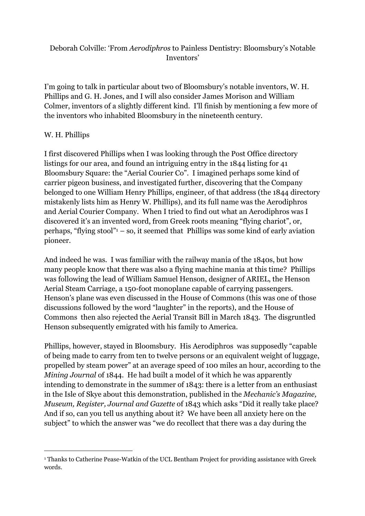## Deborah Colville: 'From *Aerodiphros* to Painless Dentistry: Bloomsbury's Notable Inventors'

I'm going to talk in particular about two of Bloomsbury's notable inventors, W. H. Phillips and G. H. Jones, and I will also consider James Morison and William Colmer, inventors of a slightly different kind. I'll finish by mentioning a few more of the inventors who inhabited Bloomsbury in the nineteenth century.

## W. H. Phillips

I first discovered Phillips when I was looking through the Post Office directory listings for our area, and found an intriguing entry in the 1844 listing for 41 Bloomsbury Square: the "Aerial Courier Co". I imagined perhaps some kind of carrier pigeon business, and investigated further, discovering that the Company belonged to one William Henry Phillips, engineer, of that address (the 1844 directory mistakenly lists him as Henry W. Phillips), and its full name was the Aerodiphros and Aerial Courier Company. When I tried to find out what an Aerodiphros was I discovered it's an invented word, from Greek roots meaning "flying chariot", or, perhaps, "flying stool" $-$  so, it seemed that Phillips was some kind of early aviation pioneer.

And indeed he was. I was familiar with the railway mania of the 1840s, but how many people know that there was also a flying machine mania at this time? Phillips was following the lead of William Samuel Henson, designer of ARIEL, the Henson Aerial Steam Carriage, a 150-foot monoplane capable of carrying passengers. Henson's plane was even discussed in the House of Commons (this was one of those discussions followed by the word "laughter" in the reports), and the House of Commons then also rejected the Aerial Transit Bill in March 1843. The disgruntled Henson subsequently emigrated with his family to America.

Phillips, however, stayed in Bloomsbury. His Aerodiphros was supposedly "capable of being made to carry from ten to twelve persons or an equivalent weight of luggage, propelled by steam power" at an average speed of 100 miles an hour, according to the *Mining Journal* of 1844. He had built a model of it which he was apparently intending to demonstrate in the summer of 1843: there is a letter from an enthusiast in the Isle of Skye about this demonstration, published in the *Mechanic's Magazine, Museum, Register, Journal and Gazette* of 1843 which asks "Did it really take place? And if so, can you tell us anything about it? We have been all anxiety here on the subject" to which the answer was "we do recollect that there was a day during the

<span id="page-0-0"></span><sup>1</sup> Thanks to Catherine Pease-Watkin of the UCL Bentham Project for providing assistance with Greek words.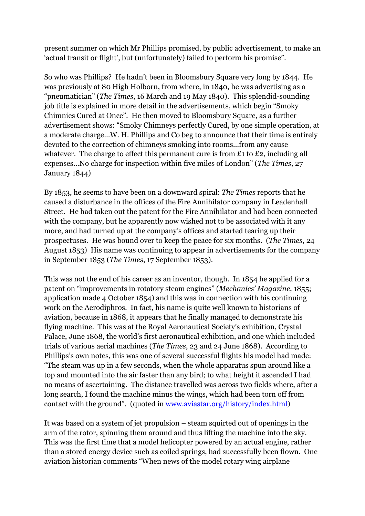present summer on which Mr Phillips promised, by public advertisement, to make an 'actual transit or flight', but (unfortunately) failed to perform his promise".

So who was Phillips? He hadn't been in Bloomsbury Square very long by 1844. He was previously at 80 High Holborn, from where, in 1840, he was advertising as a "pneumatician" (*The Times*, 16 March and 19 May 1840). This splendid-sounding job title is explained in more detail in the advertisements, which begin "Smoky Chimnies Cured at Once". He then moved to Bloomsbury Square, as a further advertisement shows: "Smoky Chimneys perfectly Cured, by one simple operation, at a moderate charge...W. H. Phillips and Co beg to announce that their time is entirely devoted to the correction of chimneys smoking into rooms...from any cause whatever. The charge to effect this permanent cure is from £1 to £2, including all expenses...No charge for inspection within five miles of London" (*The Times*, 27 January 1844)

By 1853, he seems to have been on a downward spiral: *The Times* reports that he caused a disturbance in the offices of the Fire Annihilator company in Leadenhall Street. He had taken out the patent for the Fire Annihilator and had been connected with the company, but he apparently now wished not to be associated with it any more, and had turned up at the company's offices and started tearing up their prospectuses. He was bound over to keep the peace for six months. (*The Times*, 24 August 1853) His name was continuing to appear in advertisements for the company in September 1853 (*The Times*, 17 September 1853).

This was not the end of his career as an inventor, though. In 1854 he applied for a patent on "improvements in rotatory steam engines" (*Mechanics' Magazine*, 1855; application made 4 October 1854) and this was in connection with his continuing work on the Aerodiphros. In fact, his name is quite well known to historians of aviation, because in 1868, it appears that he finally managed to demonstrate his flying machine. This was at the Royal Aeronautical Society's exhibition, Crystal Palace, June 1868, the world's first aeronautical exhibition, and one which included trials of various aerial machines (*The Times*, 23 and 24 June 1868). According to Phillips's own notes, this was one of several successful flights his model had made: "The steam was up in a few seconds, when the whole apparatus spun around like a top and mounted into the air faster than any bird; to what height it ascended I had no means of ascertaining. The distance travelled was across two fields where, after a long search, I found the machine minus the wings, which had been torn off from contact with the ground". (quoted in [www.aviastar.org/history/index.html\)](http://www.aviastar.org/history/index.html)

It was based on a system of jet propulsion – steam squirted out of openings in the arm of the rotor, spinning them around and thus lifting the machine into the sky. This was the first time that a model helicopter powered by an actual engine, rather than a stored energy device such as coiled springs, had successfully been flown. One aviation historian comments "When news of the model rotary wing airplane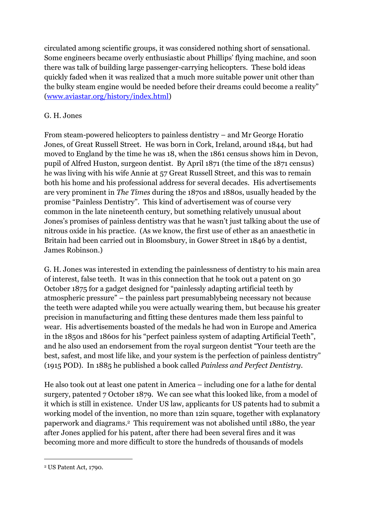circulated among scientific groups, it was considered nothing short of sensational. Some engineers became overly enthusiastic about Phillips' flying machine, and soon there was talk of building large passenger-carrying helicopters. These bold ideas quickly faded when it was realized that a much more suitable power unit other than the bulky steam engine would be needed before their dreams could become a reality" ([www.aviastar.org/history/index.html\)](http://www.aviastar.org/history/index.html)

## G. H. Jones

From steam-powered helicopters to painless dentistry – and Mr George Horatio Jones, of Great Russell Street. He was born in Cork, Ireland, around 1844, but had moved to England by the time he was 18, when the 1861 census shows him in Devon, pupil of Alfred Huston, surgeon dentist. By April 1871 (the time of the 1871 census) he was living with his wife Annie at 57 Great Russell Street, and this was to remain both his home and his professional address for several decades. His advertisements are very prominent in *The Times* during the 1870s and 1880s, usually headed by the promise "Painless Dentistry". This kind of advertisement was of course very common in the late nineteenth century, but something relatively unusual about Jones's promises of painless dentistry was that he wasn't just talking about the use of nitrous oxide in his practice. (As we know, the first use of ether as an anaesthetic in Britain had been carried out in Bloomsbury, in Gower Street in 1846 by a dentist, James Robinson.)

G. H. Jones was interested in extending the painlessness of dentistry to his main area of interest, false teeth. It was in this connection that he took out a patent on 30 October 1875 for a gadget designed for "painlessly adapting artificial teeth by atmospheric pressure" – the painless part presumablybeing necessary not because the teeth were adapted while you were actually wearing them, but because his greater precision in manufacturing and fitting these dentures made them less painful to wear. His advertisements boasted of the medals he had won in Europe and America in the 1850s and 1860s for his "perfect painless system of adapting Artificial Teeth", and he also used an endorsement from the royal surgeon dentist "Your teeth are the best, safest, and most life like, and your system is the perfection of painless dentistry" (1915 POD). In 1885 he published a book called *Painless and Perfect Dentistry*.

He also took out at least one patent in America – including one for a lathe for dental surgery, patented 7 October 1879. We can see what this looked like, from a model of it which is still in existence. Under US law, applicants for US patents had to submit a working model of the invention, no more than 12in square, together with explanatory paperwork and diagrams.[2](#page-2-0) This requirement was not abolished until 1880, the year after Jones applied for his patent, after there had been several fires and it was becoming more and more difficult to store the hundreds of thousands of models

<span id="page-2-0"></span><sup>2</sup> US Patent Act, 1790.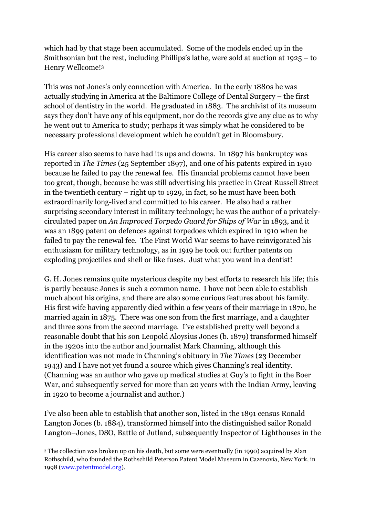which had by that stage been accumulated. Some of the models ended up in the Smithsonian but the rest, including Phillips's lathe, were sold at auction at 1925 – to Henry Wellcome![3](#page-3-0)

This was not Jones's only connection with America. In the early 1880s he was actually studying in America at the Baltimore College of Dental Surgery – the first school of dentistry in the world. He graduated in 1883. The archivist of its museum says they don't have any of his equipment, nor do the records give any clue as to why he went out to America to study; perhaps it was simply what he considered to be necessary professional development which he couldn't get in Bloomsbury.

His career also seems to have had its ups and downs. In 1897 his bankruptcy was reported in *The Times* (25 September 1897), and one of his patents expired in 1910 because he failed to pay the renewal fee. His financial problems cannot have been too great, though, because he was still advertising his practice in Great Russell Street in the twentieth century – right up to 1929, in fact, so he must have been both extraordinarily long-lived and committed to his career. He also had a rather surprising secondary interest in military technology; he was the author of a privatelycirculated paper on *An Improved Torpedo Guard for Ships of War* in 1893, and it was an 1899 patent on defences against torpedoes which expired in 1910 when he failed to pay the renewal fee. The First World War seems to have reinvigorated his enthusiasm for military technology, as in 1919 he took out further patents on exploding projectiles and shell or like fuses. Just what you want in a dentist!

G. H. Jones remains quite mysterious despite my best efforts to research his life; this is partly because Jones is such a common name. I have not been able to establish much about his origins, and there are also some curious features about his family. His first wife having apparently died within a few years of their marriage in 1870, he married again in 1875. There was one son from the first marriage, and a daughter and three sons from the second marriage. I've established pretty well beyond a reasonable doubt that his son Leopold Aloysius Jones (b. 1879) transformed himself in the 1920s into the author and journalist Mark Channing, although this identification was not made in Channing's obituary in *The Times* (23 December 1943) and I have not yet found a source which gives Channing's real identity. (Channing was an author who gave up medical studies at Guy's to fight in the Boer War, and subsequently served for more than 20 years with the Indian Army, leaving in 1920 to become a journalist and author.)

I've also been able to establish that another son, listed in the 1891 census Ronald Langton Jones (b. 1884), transformed himself into the distinguished sailor Ronald Langton–Jones, DSO, Battle of Jutland, subsequently Inspector of Lighthouses in the

<span id="page-3-0"></span><sup>3</sup> The collection was broken up on his death, but some were eventually (in 1990) acquired by Alan Rothschild, who founded the Rothschild Peterson Patent Model Museum in Cazenovia, New York, in 1998 (www.patentmodel.org).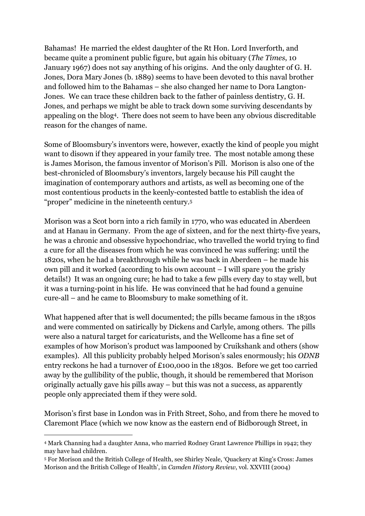Bahamas! He married the eldest daughter of the Rt Hon. Lord Inverforth, and became quite a prominent public figure, but again his obituary (*The Times*, 10 January 1967) does not say anything of his origins. And the only daughter of G. H. Jones, Dora Mary Jones (b. 1889) seems to have been devoted to this naval brother and followed him to the Bahamas – she also changed her name to Dora Langton-Jones. We can trace these children back to the father of painless dentistry, G. H. Jones, and perhaps we might be able to track down some surviving descendants by appealing on the blog[4](#page-4-0). There does not seem to have been any obvious discreditable reason for the changes of name.

Some of Bloomsbury's inventors were, however, exactly the kind of people you might want to disown if they appeared in your family tree. The most notable among these is James Morison, the famous inventor of Morison's Pill. Morison is also one of the best-chronicled of Bloomsbury's inventors, largely because his Pill caught the imagination of contemporary authors and artists, as well as becoming one of the most contentious products in the keenly-contested battle to establish the idea of "proper" medicine in the nineteenth century.[5](#page-4-1)

Morison was a Scot born into a rich family in 1770, who was educated in Aberdeen and at Hanau in Germany. From the age of sixteen, and for the next thirty-five years, he was a chronic and obsessive hypochondriac, who travelled the world trying to find a cure for all the diseases from which he was convinced he was suffering: until the 1820s, when he had a breakthrough while he was back in Aberdeen – he made his own pill and it worked (according to his own account – I will spare you the grisly details!) It was an ongoing cure; he had to take a few pills every day to stay well, but it was a turning-point in his life. He was convinced that he had found a genuine cure-all – and he came to Bloomsbury to make something of it.

What happened after that is well documented; the pills became famous in the 1830s and were commented on satirically by Dickens and Carlyle, among others. The pills were also a natural target for caricaturists, and the Wellcome has a fine set of examples of how Morison's product was lampooned by Cruikshank and others (show examples). All this publicity probably helped Morison's sales enormously; his *ODNB* entry reckons he had a turnover of £100,000 in the 1830s. Before we get too carried away by the gullibility of the public, though, it should be remembered that Morison originally actually gave his pills away – but this was not a success, as apparently people only appreciated them if they were sold.

Morison's first base in London was in Frith Street, Soho, and from there he moved to Claremont Place (which we now know as the eastern end of Bidborough Street, in

<span id="page-4-0"></span><sup>4</sup> Mark Channing had a daughter Anna, who married Rodney Grant Lawrence Phillips in 1942; they may have had children.

<span id="page-4-1"></span><sup>5</sup> For Morison and the British College of Health, see Shirley Neale, 'Quackery at King's Cross: James Morison and the British College of Health', in *Camden History Review*, vol. XXVIII (2004)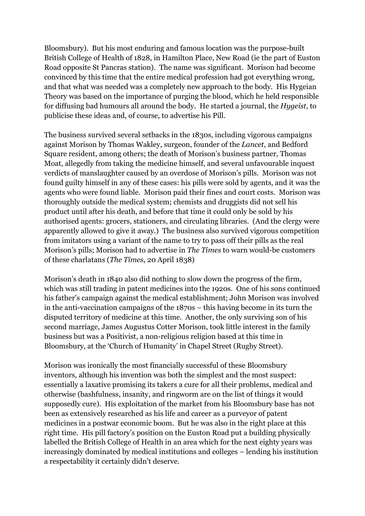Bloomsbury). But his most enduring and famous location was the purpose-built British College of Health of 1828, in Hamilton Place, New Road (ie the part of Euston Road opposite St Pancras station). The name was significant. Morison had become convinced by this time that the entire medical profession had got everything wrong, and that what was needed was a completely new approach to the body. His Hygeian Theory was based on the importance of purging the blood, which he held responsible for diffusing bad humours all around the body. He started a journal, the *Hygeist*, to publicise these ideas and, of course, to advertise his Pill.

The business survived several setbacks in the 1830s, including vigorous campaigns against Morison by Thomas Wakley, surgeon, founder of the *Lancet*, and Bedford Square resident, among others; the death of Morison's business partner, Thomas Moat, allegedly from taking the medicine himself, and several unfavourable inquest verdicts of manslaughter caused by an overdose of Morison's pills. Morison was not found guilty himself in any of these cases: his pills were sold by agents, and it was the agents who were found liable. Morison paid their fines and court costs. Morison was thoroughly outside the medical system; chemists and druggists did not sell his product until after his death, and before that time it could only be sold by his authorised agents: grocers, stationers, and circulating libraries. (And the clergy were apparently allowed to give it away.) The business also survived vigorous competition from imitators using a variant of the name to try to pass off their pills as the real Morison's pills; Morison had to advertise in *The Times* to warn would-be customers of these charlatans (*The Times*, 20 April 1838)

Morison's death in 1840 also did nothing to slow down the progress of the firm, which was still trading in patent medicines into the 1920s. One of his sons continued his father's campaign against the medical establishment; John Morison was involved in the anti-vaccination campaigns of the 1870s – this having become in its turn the disputed territory of medicine at this time. Another, the only surviving son of his second marriage, James Augustus Cotter Morison, took little interest in the family business but was a Positivist, a non-religious religion based at this time in Bloomsbury, at the 'Church of Humanity' in Chapel Street (Rugby Street).

Morison was ironically the most financially successful of these Bloomsbury inventors, although his invention was both the simplest and the most suspect: essentially a laxative promising its takers a cure for all their problems, medical and otherwise (bashfulness, insanity, and ringworm are on the list of things it would supposedly cure). His exploitation of the market from his Bloomsbury base has not been as extensively researched as his life and career as a purveyor of patent medicines in a postwar economic boom. But he was also in the right place at this right time. His pill factory's position on the Euston Road put a building physically labelled the British College of Health in an area which for the next eighty years was increasingly dominated by medical institutions and colleges – lending his institution a respectability it certainly didn't deserve.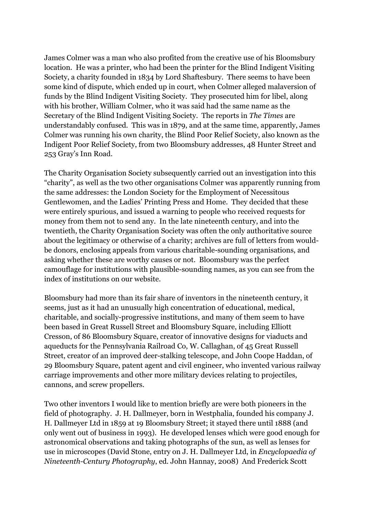James Colmer was a man who also profited from the creative use of his Bloomsbury location. He was a printer, who had been the printer for the Blind Indigent Visiting Society, a charity founded in 1834 by Lord Shaftesbury. There seems to have been some kind of dispute, which ended up in court, when Colmer alleged malaversion of funds by the Blind Indigent Visiting Society. They prosecuted him for libel, along with his brother, William Colmer, who it was said had the same name as the Secretary of the Blind Indigent Visiting Society. The reports in *The Times* are understandably confused. This was in 1879, and at the same time, apparently, James Colmer was running his own charity, the Blind Poor Relief Society, also known as the Indigent Poor Relief Society, from two Bloomsbury addresses, 48 Hunter Street and 253 Gray's Inn Road.

The Charity Organisation Society subsequently carried out an investigation into this "charity", as well as the two other organisations Colmer was apparently running from the same addresses: the London Society for the Employment of Necessitous Gentlewomen, and the Ladies' Printing Press and Home. They decided that these were entirely spurious, and issued a warning to people who received requests for money from them not to send any. In the late nineteenth century, and into the twentieth, the Charity Organisation Society was often the only authoritative source about the legitimacy or otherwise of a charity; archives are full of letters from wouldbe donors, enclosing appeals from various charitable-sounding organisations, and asking whether these are worthy causes or not. Bloomsbury was the perfect camouflage for institutions with plausible-sounding names, as you can see from the index of institutions on our website.

Bloomsbury had more than its fair share of inventors in the nineteenth century, it seems, just as it had an unusually high concentration of educational, medical, charitable, and socially-progressive institutions, and many of them seem to have been based in Great Russell Street and Bloomsbury Square, including Elliott Cresson, of 86 Bloomsbury Square, creator of innovative designs for viaducts and aqueducts for the Pennsylvania Railroad Co, W. Callaghan, of 45 Great Russell Street, creator of an improved deer-stalking telescope, and John Coope Haddan, of 29 Bloomsbury Square, patent agent and civil engineer, who invented various railway carriage improvements and other more military devices relating to projectiles, cannons, and screw propellers.

Two other inventors I would like to mention briefly are were both pioneers in the field of photography. J. H. Dallmeyer, born in Westphalia, founded his company J. H. Dallmeyer Ltd in 1859 at 19 Bloomsbury Street; it stayed there until 1888 (and only went out of business in 1993). He developed lenses which were good enough for astronomical observations and taking photographs of the sun, as well as lenses for use in microscopes (David Stone, entry on J. H. Dallmeyer Ltd, in *Encyclopaedia of Nineteenth-Century Photography*, ed. John Hannay, 2008) And Frederick Scott